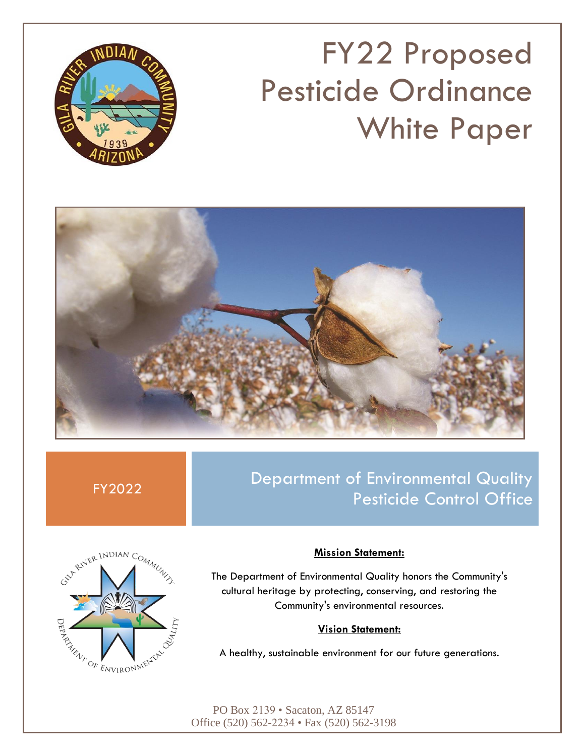

# FY22 Proposed Pesticide Ordinance White Paper



# FY2022

# Department of Environmental Quality Pesticide Control Office



#### **Mission Statement:**

The Department of Environmental Quality honors the Community's cultural heritage by protecting, conserving, and restoring the Community's environmental resources.

#### **Vision Statement:**

A healthy, sustainable environment for our future generations.

PO Box 2139 • Sacaton, AZ 85147 Office (520) 562-2234 • Fax (520) 562-3198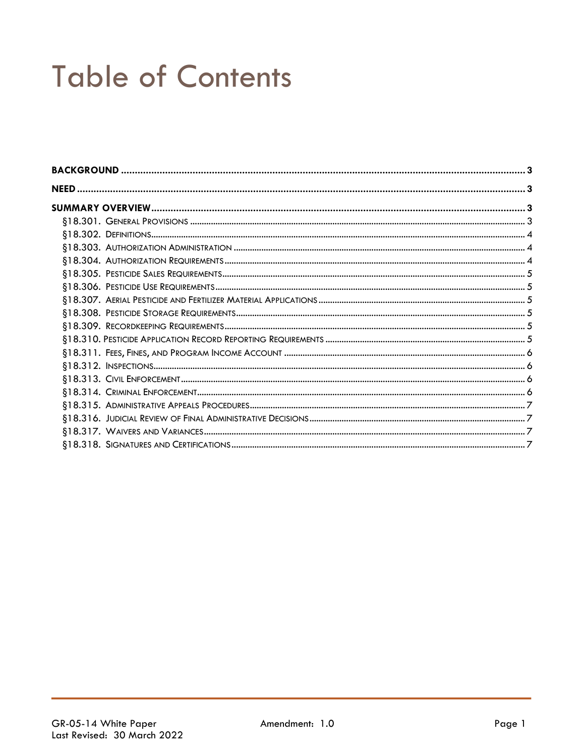# **Table of Contents**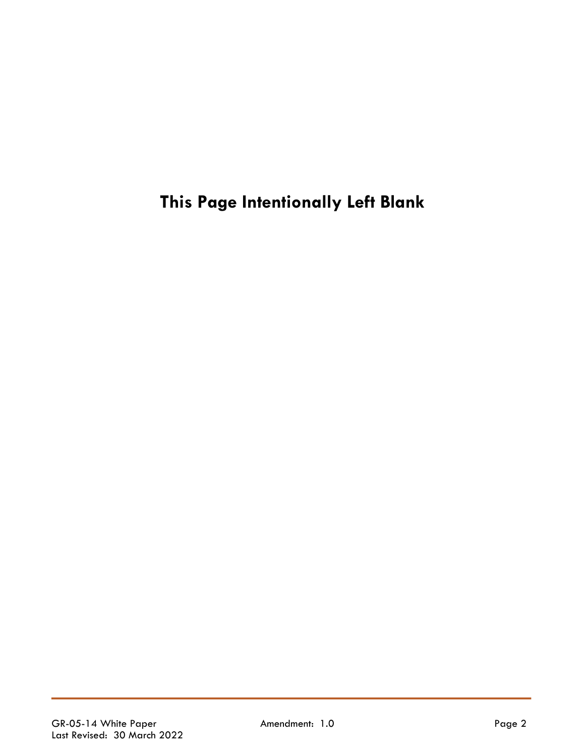**This Page Intentionally Left Blank**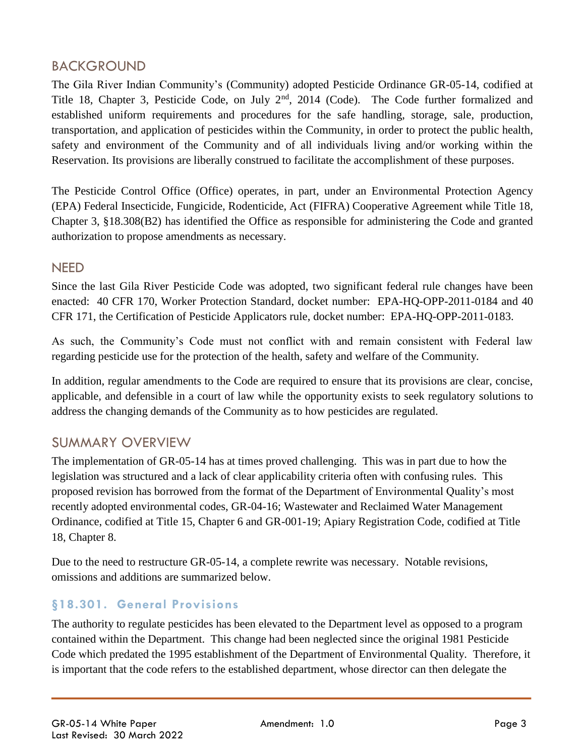# <span id="page-3-0"></span>BACKGROUND

The Gila River Indian Community's (Community) adopted Pesticide Ordinance GR-05-14, codified at Title 18, Chapter 3, Pesticide Code, on July  $2<sup>nd</sup>$ , 2014 (Code). The Code further formalized and established uniform requirements and procedures for the safe handling, storage, sale, production, transportation, and application of pesticides within the Community, in order to protect the public health, safety and environment of the Community and of all individuals living and/or working within the Reservation. Its provisions are liberally construed to facilitate the accomplishment of these purposes.

The Pesticide Control Office (Office) operates, in part, under an Environmental Protection Agency (EPA) Federal Insecticide, Fungicide, Rodenticide, Act (FIFRA) Cooperative Agreement while Title 18, Chapter 3, §18.308(B2) has identified the Office as responsible for administering the Code and granted authorization to propose amendments as necessary.

#### <span id="page-3-1"></span>**NEED**

Since the last Gila River Pesticide Code was adopted, two significant federal rule changes have been enacted: 40 CFR 170, Worker Protection Standard, docket number: EPA-HQ-OPP-2011-0184 and 40 CFR 171, the Certification of Pesticide Applicators rule, docket number: EPA-HQ-OPP-2011-0183.

As such, the Community's Code must not conflict with and remain consistent with Federal law regarding pesticide use for the protection of the health, safety and welfare of the Community.

In addition, regular amendments to the Code are required to ensure that its provisions are clear, concise, applicable, and defensible in a court of law while the opportunity exists to seek regulatory solutions to address the changing demands of the Community as to how pesticides are regulated.

# <span id="page-3-2"></span>SUMMARY OVERVIEW

The implementation of GR-05-14 has at times proved challenging. This was in part due to how the legislation was structured and a lack of clear applicability criteria often with confusing rules. This proposed revision has borrowed from the format of the Department of Environmental Quality's most recently adopted environmental codes, GR-04-16; Wastewater and Reclaimed Water Management Ordinance, codified at Title 15, Chapter 6 and GR-001-19; Apiary Registration Code, codified at Title 18, Chapter 8.

Due to the need to restructure GR-05-14, a complete rewrite was necessary. Notable revisions, omissions and additions are summarized below.

# <span id="page-3-3"></span>**§18.301. General Provisions**

The authority to regulate pesticides has been elevated to the Department level as opposed to a program contained within the Department. This change had been neglected since the original 1981 Pesticide Code which predated the 1995 establishment of the Department of Environmental Quality. Therefore, it is important that the code refers to the established department, whose director can then delegate the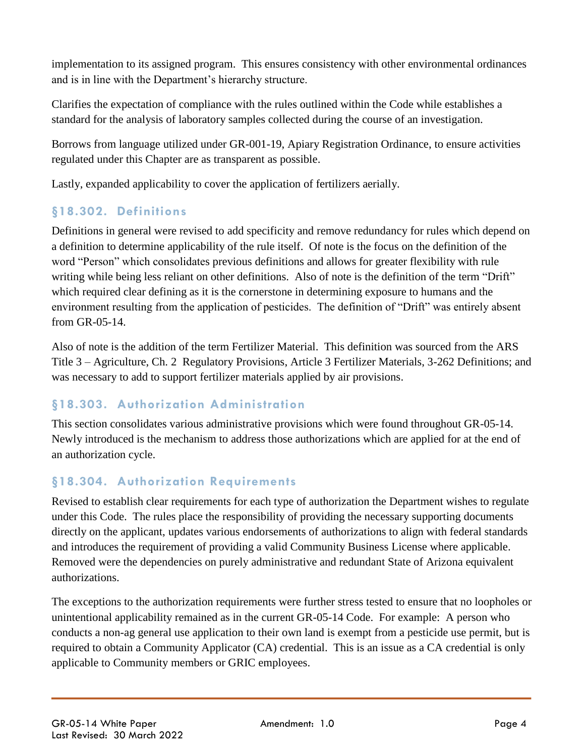implementation to its assigned program. This ensures consistency with other environmental ordinances and is in line with the Department's hierarchy structure.

Clarifies the expectation of compliance with the rules outlined within the Code while establishes a standard for the analysis of laboratory samples collected during the course of an investigation.

Borrows from language utilized under GR-001-19, Apiary Registration Ordinance, to ensure activities regulated under this Chapter are as transparent as possible.

Lastly, expanded applicability to cover the application of fertilizers aerially.

# <span id="page-4-0"></span>**§18.302. Definitions**

Definitions in general were revised to add specificity and remove redundancy for rules which depend on a definition to determine applicability of the rule itself. Of note is the focus on the definition of the word "Person" which consolidates previous definitions and allows for greater flexibility with rule writing while being less reliant on other definitions. Also of note is the definition of the term "Drift" which required clear defining as it is the cornerstone in determining exposure to humans and the environment resulting from the application of pesticides. The definition of "Drift" was entirely absent from GR-05-14.

Also of note is the addition of the term Fertilizer Material. This definition was sourced from the ARS Title 3 – Agriculture, Ch. 2 Regulatory Provisions, Article 3 Fertilizer Materials, 3-262 Definitions; and was necessary to add to support fertilizer materials applied by air provisions.

# <span id="page-4-1"></span>**§18.303. Authorization Administration**

This section consolidates various administrative provisions which were found throughout GR-05-14. Newly introduced is the mechanism to address those authorizations which are applied for at the end of an authorization cycle.

# <span id="page-4-2"></span>**§18.304. Authorization Requirements**

Revised to establish clear requirements for each type of authorization the Department wishes to regulate under this Code. The rules place the responsibility of providing the necessary supporting documents directly on the applicant, updates various endorsements of authorizations to align with federal standards and introduces the requirement of providing a valid Community Business License where applicable. Removed were the dependencies on purely administrative and redundant State of Arizona equivalent authorizations.

The exceptions to the authorization requirements were further stress tested to ensure that no loopholes or unintentional applicability remained as in the current GR-05-14 Code. For example: A person who conducts a non-ag general use application to their own land is exempt from a pesticide use permit, but is required to obtain a Community Applicator (CA) credential. This is an issue as a CA credential is only applicable to Community members or GRIC employees.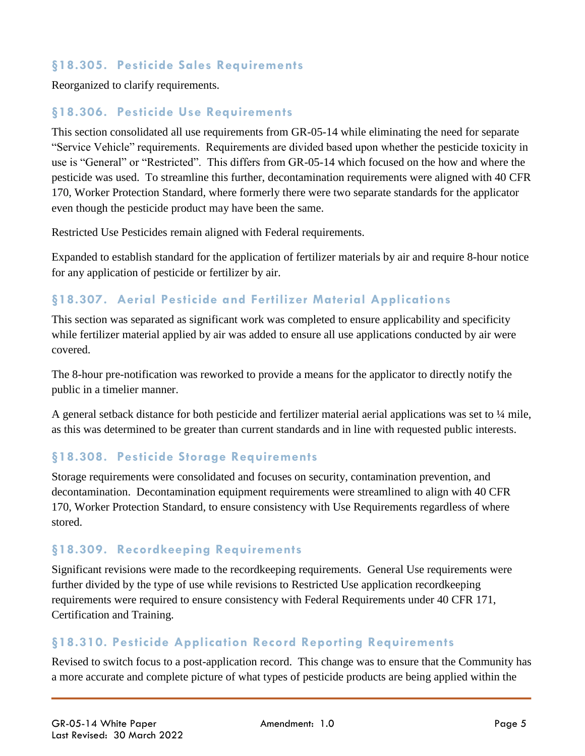# <span id="page-5-0"></span>**§18.305. Pesticide Sales Requirements**

Reorganized to clarify requirements.

#### <span id="page-5-1"></span>**§18.306. Pesticide Use Requirements**

This section consolidated all use requirements from GR-05-14 while eliminating the need for separate "Service Vehicle" requirements. Requirements are divided based upon whether the pesticide toxicity in use is "General" or "Restricted". This differs from GR-05-14 which focused on the how and where the pesticide was used. To streamline this further, decontamination requirements were aligned with 40 CFR 170, Worker Protection Standard, where formerly there were two separate standards for the applicator even though the pesticide product may have been the same.

Restricted Use Pesticides remain aligned with Federal requirements.

Expanded to establish standard for the application of fertilizer materials by air and require 8-hour notice for any application of pesticide or fertilizer by air.

# <span id="page-5-2"></span>**§18.307. Aerial Pesticide and Fertilizer Material Applications**

This section was separated as significant work was completed to ensure applicability and specificity while fertilizer material applied by air was added to ensure all use applications conducted by air were covered.

The 8-hour pre-notification was reworked to provide a means for the applicator to directly notify the public in a timelier manner.

A general setback distance for both pesticide and fertilizer material aerial applications was set to ¼ mile, as this was determined to be greater than current standards and in line with requested public interests.

#### <span id="page-5-3"></span>**§18.308. Pesticide Storage Requirements**

Storage requirements were consolidated and focuses on security, contamination prevention, and decontamination. Decontamination equipment requirements were streamlined to align with 40 CFR 170, Worker Protection Standard, to ensure consistency with Use Requirements regardless of where stored.

#### <span id="page-5-4"></span>**§18.309. Recordkeeping Requirements**

Significant revisions were made to the recordkeeping requirements. General Use requirements were further divided by the type of use while revisions to Restricted Use application recordkeeping requirements were required to ensure consistency with Federal Requirements under 40 CFR 171, Certification and Training.

#### <span id="page-5-5"></span>**§18.310. Pesticide Application Record Reporting Requirements**

Revised to switch focus to a post-application record. This change was to ensure that the Community has a more accurate and complete picture of what types of pesticide products are being applied within the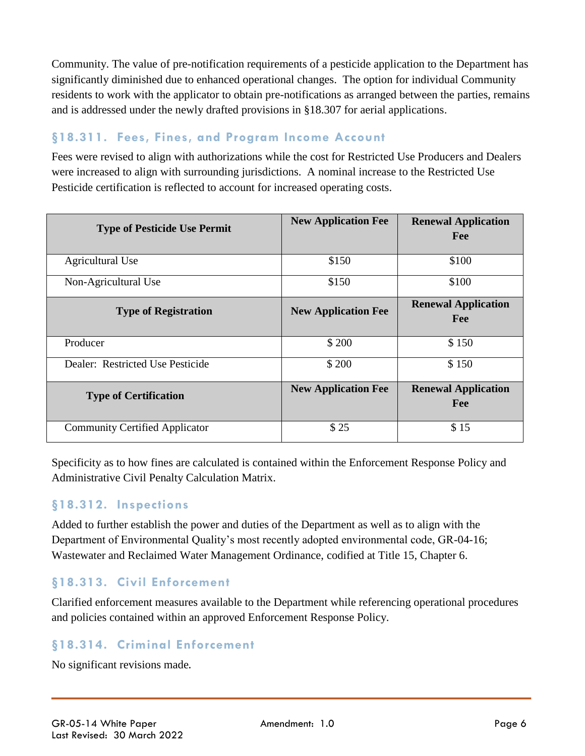Community. The value of pre-notification requirements of a pesticide application to the Department has significantly diminished due to enhanced operational changes. The option for individual Community residents to work with the applicator to obtain pre-notifications as arranged between the parties, remains and is addressed under the newly drafted provisions in §18.307 for aerial applications.

# <span id="page-6-0"></span>**§18.311. Fees, Fines, and Program Income Account**

Fees were revised to align with authorizations while the cost for Restricted Use Producers and Dealers were increased to align with surrounding jurisdictions. A nominal increase to the Restricted Use Pesticide certification is reflected to account for increased operating costs.

| <b>Type of Pesticide Use Permit</b>   | <b>New Application Fee</b> | <b>Renewal Application</b><br>Fee |
|---------------------------------------|----------------------------|-----------------------------------|
| Agricultural Use                      | \$150                      | \$100                             |
| Non-Agricultural Use                  | \$150                      | \$100                             |
| <b>Type of Registration</b>           | <b>New Application Fee</b> | <b>Renewal Application</b><br>Fee |
| Producer                              | \$200                      | \$150                             |
| Dealer: Restricted Use Pesticide      | \$200                      | \$150                             |
| <b>Type of Certification</b>          | <b>New Application Fee</b> | <b>Renewal Application</b><br>Fee |
| <b>Community Certified Applicator</b> | \$25                       | \$15                              |

Specificity as to how fines are calculated is contained within the Enforcement Response Policy and Administrative Civil Penalty Calculation Matrix.

# <span id="page-6-1"></span>**§18.312. Inspections**

Added to further establish the power and duties of the Department as well as to align with the Department of Environmental Quality's most recently adopted environmental code, GR-04-16; Wastewater and Reclaimed Water Management Ordinance, codified at Title 15, Chapter 6.

# <span id="page-6-2"></span>**§18.313. Civil Enforcement**

Clarified enforcement measures available to the Department while referencing operational procedures and policies contained within an approved Enforcement Response Policy.

# <span id="page-6-3"></span>**§18.314. Criminal Enforcement**

No significant revisions made.